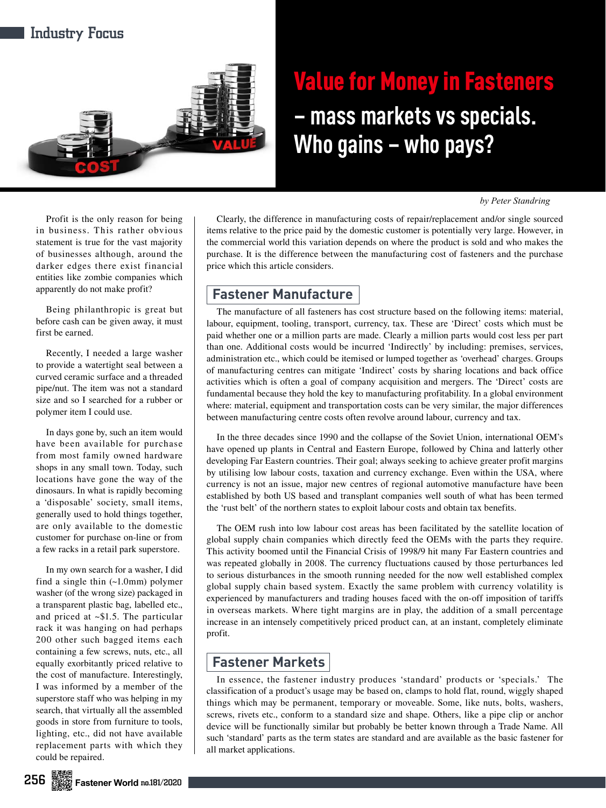

# Value for Money in Fasteners **– mass markets vs specials. Who gains – who pays?**

*by Peter Standring*

Profit is the only reason for being in business. This rather obvious statement is true for the vast majority of businesses although, around the darker edges there exist financial entities like zombie companies which apparently do not make profit?

Being philanthropic is great but before cash can be given away, it must first be earned.

Recently, I needed a large washer to provide a watertight seal between a curved ceramic surface and a threaded pipe/nut. The item was not a standard size and so I searched for a rubber or polymer item I could use.

In days gone by, such an item would have been available for purchase from most family owned hardware shops in any small town. Today, such locations have gone the way of the dinosaurs. In what is rapidly becoming a 'disposable' society, small items, generally used to hold things together, are only available to the domestic customer for purchase on-line or from a few racks in a retail park superstore.

In my own search for a washer, I did find a single thin (~1.0mm) polymer washer (of the wrong size) packaged in a transparent plastic bag, labelled etc., and priced at ~\$1.5. The particular rack it was hanging on had perhaps 200 other such bagged items each containing a few screws, nuts, etc., all equally exorbitantly priced relative to the cost of manufacture. Interestingly, I was informed by a member of the superstore staff who was helping in my search, that virtually all the assembled goods in store from furniture to tools, lighting, etc., did not have available replacement parts with which they could be repaired.

Clearly, the difference in manufacturing costs of repair/replacement and/or single sourced items relative to the price paid by the domestic customer is potentially very large. However, in the commercial world this variation depends on where the product is sold and who makes the purchase. It is the difference between the manufacturing cost of fasteners and the purchase price which this article considers.

# **Fastener Manufacture**

The manufacture of all fasteners has cost structure based on the following items: material, labour, equipment, tooling, transport, currency, tax. These are 'Direct' costs which must be paid whether one or a million parts are made. Clearly a million parts would cost less per part than one. Additional costs would be incurred 'Indirectly' by including: premises, services, administration etc., which could be itemised or lumped together as 'overhead' charges. Groups of manufacturing centres can mitigate 'Indirect' costs by sharing locations and back office activities which is often a goal of company acquisition and mergers. The 'Direct' costs are fundamental because they hold the key to manufacturing profitability. In a global environment where: material, equipment and transportation costs can be very similar, the major differences between manufacturing centre costs often revolve around labour, currency and tax.

In the three decades since 1990 and the collapse of the Soviet Union, international OEM's have opened up plants in Central and Eastern Europe, followed by China and latterly other developing Far Eastern countries. Their goal; always seeking to achieve greater profit margins by utilising low labour costs, taxation and currency exchange. Even within the USA, where currency is not an issue, major new centres of regional automotive manufacture have been established by both US based and transplant companies well south of what has been termed the 'rust belt' of the northern states to exploit labour costs and obtain tax benefits.

The OEM rush into low labour cost areas has been facilitated by the satellite location of global supply chain companies which directly feed the OEMs with the parts they require. This activity boomed until the Financial Crisis of 1998/9 hit many Far Eastern countries and was repeated globally in 2008. The currency fluctuations caused by those perturbances led to serious disturbances in the smooth running needed for the now well established complex global supply chain based system. Exactly the same problem with currency volatility is experienced by manufacturers and trading houses faced with the on-off imposition of tariffs in overseas markets. Where tight margins are in play, the addition of a small percentage increase in an intensely competitively priced product can, at an instant, completely eliminate profit.

# **Fastener Markets**

In essence, the fastener industry produces 'standard' products or 'specials.' The classification of a product's usage may be based on, clamps to hold flat, round, wiggly shaped things which may be permanent, temporary or moveable. Some, like nuts, bolts, washers, screws, rivets etc., conform to a standard size and shape. Others, like a pipe clip or anchor device will be functionally similar but probably be better known through a Trade Name. All such 'standard' parts as the term states are standard and are available as the basic fastener for all market applications.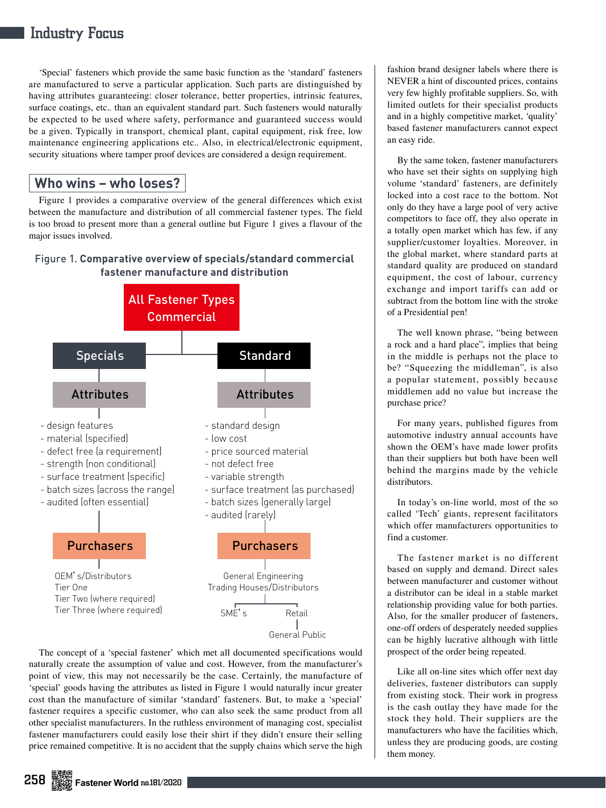# Industry Focus

'Special' fasteners which provide the same basic function as the 'standard' fasteners are manufactured to serve a particular application. Such parts are distinguished by having attributes guaranteeing: closer tolerance, better properties, intrinsic features, surface coatings, etc.. than an equivalent standard part. Such fasteners would naturally be expected to be used where safety, performance and guaranteed success would be a given. Typically in transport, chemical plant, capital equipment, risk free, low maintenance engineering applications etc.. Also, in electrical/electronic equipment, security situations where tamper proof devices are considered a design requirement.

## **Who wins – who loses?**

Figure 1 provides a comparative overview of the general differences which exist between the manufacture and distribution of all commercial fastener types. The field is too broad to present more than a general outline but Figure 1 gives a flavour of the major issues involved.

#### Figure 1. **Comparative overview of specials/standard commercial fastener manufacture and distribution**



The concept of a 'special fastener' which met all documented specifications would naturally create the assumption of value and cost. However, from the manufacturer's point of view, this may not necessarily be the case. Certainly, the manufacture of 'special' goods having the attributes as listed in Figure 1 would naturally incur greater cost than the manufacture of similar 'standard' fasteners. But, to make a 'special' fastener requires a specific customer, who can also seek the same product from all other specialist manufacturers. In the ruthless environment of managing cost, specialist fastener manufacturers could easily lose their shirt if they didn't ensure their selling price remained competitive. It is no accident that the supply chains which serve the high

fashion brand designer labels where there is NEVER a hint of discounted prices, contains very few highly profitable suppliers. So, with limited outlets for their specialist products and in a highly competitive market, 'quality' based fastener manufacturers cannot expect an easy ride.

By the same token, fastener manufacturers who have set their sights on supplying high volume 'standard' fasteners, are definitely locked into a cost race to the bottom. Not only do they have a large pool of very active competitors to face off, they also operate in a totally open market which has few, if any supplier/customer loyalties. Moreover, in the global market, where standard parts at standard quality are produced on standard equipment, the cost of labour, currency exchange and import tariffs can add or subtract from the bottom line with the stroke of a Presidential pen!

The well known phrase, "being between a rock and a hard place", implies that being in the middle is perhaps not the place to be? "Squeezing the middleman", is also a popular statement, possibly because middlemen add no value but increase the purchase price?

For many years, published figures from automotive industry annual accounts have shown the OEM's have made lower profits than their suppliers but both have been well behind the margins made by the vehicle distributors.

In today's on-line world, most of the so called 'Tech' giants, represent facilitators which offer manufacturers opportunities to find a customer.

The fastener market is no different based on supply and demand. Direct sales between manufacturer and customer without a distributor can be ideal in a stable market relationship providing value for both parties. Also, for the smaller producer of fasteners, one-off orders of desperately needed supplies can be highly lucrative although with little prospect of the order being repeated.

Like all on-line sites which offer next day deliveries, fastener distributors can supply from existing stock. Their work in progress is the cash outlay they have made for the stock they hold. Their suppliers are the manufacturers who have the facilities which, unless they are producing goods, are costing them money.